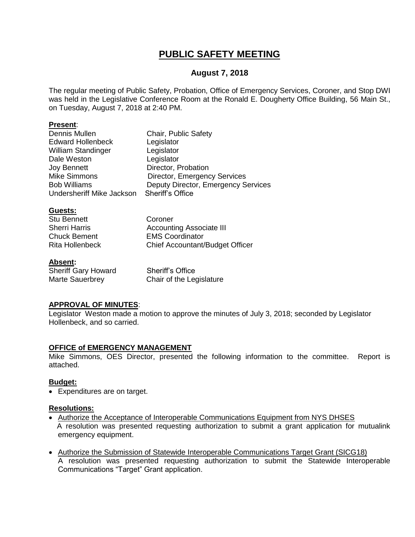# **PUBLIC SAFETY MEETING**

# **August 7, 2018**

The regular meeting of Public Safety, Probation, Office of Emergency Services, Coroner, and Stop DWI was held in the Legislative Conference Room at the Ronald E. Dougherty Office Building, 56 Main St., on Tuesday, August 7, 2018 at 2:40 PM.

#### **Present**:

| Chair, Public Safety                          |
|-----------------------------------------------|
| Legislator                                    |
| Legislator                                    |
| Legislator                                    |
| Director, Probation                           |
| Director, Emergency Services                  |
| Deputy Director, Emergency Services           |
| Sheriff's Office<br>Undersheriff Mike Jackson |
|                                               |

#### **Guests:**

| <b>Stu Bennett</b>   | Coroner                                |
|----------------------|----------------------------------------|
| <b>Sherri Harris</b> | <b>Accounting Associate III</b>        |
| <b>Chuck Bement</b>  | <b>EMS Coordinator</b>                 |
| Rita Hollenbeck      | <b>Chief Accountant/Budget Officer</b> |
|                      |                                        |

#### **Absent:**

| <b>Sheriff Gary Howard</b> | <b>Sheriff's Office</b>  |
|----------------------------|--------------------------|
| Marte Sauerbrey            | Chair of the Legislature |

### **APPROVAL OF MINUTES**:

Legislator Weston made a motion to approve the minutes of July 3, 2018; seconded by Legislator Hollenbeck, and so carried.

#### **OFFICE of EMERGENCY MANAGEMENT**

Mike Simmons, OES Director, presented the following information to the committee. Report is attached.

#### **Budget:**

Expenditures are on target.

#### **Resolutions:**

- Authorize the Acceptance of Interoperable Communications Equipment from NYS DHSES A resolution was presented requesting authorization to submit a grant application for mutualink emergency equipment.
- Authorize the Submission of Statewide Interoperable Communications Target Grant (SICG18) A resolution was presented requesting authorization to submit the Statewide Interoperable Communications "Target" Grant application.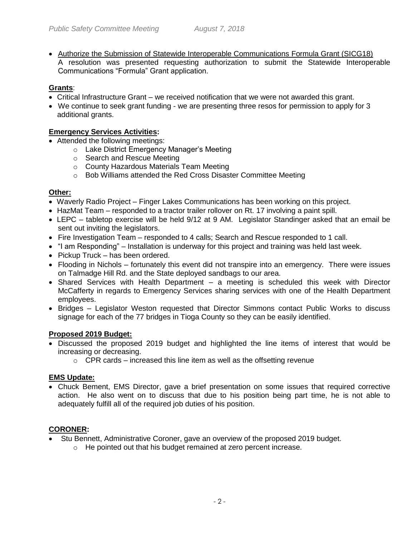Authorize the Submission of Statewide Interoperable Communications Formula Grant (SICG18) A resolution was presented requesting authorization to submit the Statewide Interoperable Communications "Formula" Grant application.

# **Grants**:

- Critical Infrastructure Grant we received notification that we were not awarded this grant.
- We continue to seek grant funding we are presenting three resos for permission to apply for 3 additional grants.

# **Emergency Services Activities:**

- Attended the following meetings:
	- o Lake District Emergency Manager's Meeting
	- o Search and Rescue Meeting
	- o County Hazardous Materials Team Meeting
	- o Bob Williams attended the Red Cross Disaster Committee Meeting

# **Other:**

- Waverly Radio Project Finger Lakes Communications has been working on this project.
- HazMat Team responded to a tractor trailer rollover on Rt. 17 involving a paint spill.
- LEPC tabletop exercise will be held 9/12 at 9 AM. Legislator Standinger asked that an email be sent out inviting the legislators.
- Fire Investigation Team responded to 4 calls; Search and Rescue responded to 1 call.
- "I am Responding" Installation is underway for this project and training was held last week.
- Pickup Truck has been ordered.
- Flooding in Nichols fortunately this event did not transpire into an emergency. There were issues on Talmadge Hill Rd. and the State deployed sandbags to our area.
- $\bullet$  Shared Services with Health Department a meeting is scheduled this week with Director McCafferty in regards to Emergency Services sharing services with one of the Health Department employees.
- Bridges Legislator Weston requested that Director Simmons contact Public Works to discuss signage for each of the 77 bridges in Tioga County so they can be easily identified.

# **Proposed 2019 Budget:**

- Discussed the proposed 2019 budget and highlighted the line items of interest that would be increasing or decreasing.
	- $\circ$  CPR cards increased this line item as well as the offsetting revenue

### **EMS Update:**

 Chuck Bement, EMS Director, gave a brief presentation on some issues that required corrective action. He also went on to discuss that due to his position being part time, he is not able to adequately fulfill all of the required job duties of his position.

### **CORONER:**

- Stu Bennett, Administrative Coroner, gave an overview of the proposed 2019 budget.
	- o He pointed out that his budget remained at zero percent increase.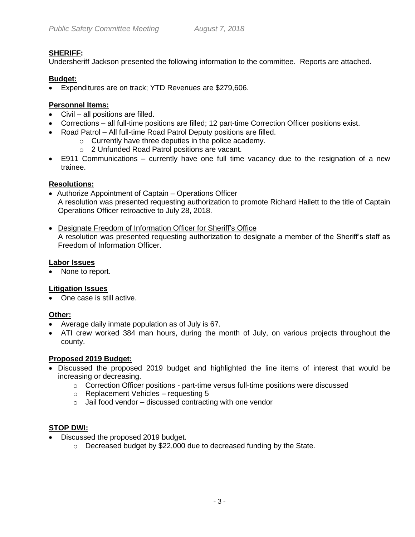# **SHERIFF:**

Undersheriff Jackson presented the following information to the committee. Reports are attached.

# **Budget:**

Expenditures are on track; YTD Revenues are \$279,606.

# **Personnel Items:**

- Civil all positions are filled.
- Corrections all full-time positions are filled; 12 part-time Correction Officer positions exist.
- Road Patrol All full-time Road Patrol Deputy positions are filled.
	- o Currently have three deputies in the police academy.
	- o 2 Unfunded Road Patrol positions are vacant.
- E911 Communications currently have one full time vacancy due to the resignation of a new trainee.

# **Resolutions:**

- Authorize Appointment of Captain Operations Officer A resolution was presented requesting authorization to promote Richard Hallett to the title of Captain Operations Officer retroactive to July 28, 2018.
- Designate Freedom of Information Officer for Sheriff's Office A resolution was presented requesting authorization to designate a member of the Sheriff's staff as Freedom of Information Officer.

# **Labor Issues**

• None to report.

# **Litigation Issues**

• One case is still active.

### **Other:**

- Average daily inmate population as of July is 67.
- ATI crew worked 384 man hours, during the month of July, on various projects throughout the county.

### **Proposed 2019 Budget:**

- Discussed the proposed 2019 budget and highlighted the line items of interest that would be increasing or decreasing.
	- $\circ$  Correction Officer positions part-time versus full-time positions were discussed
	- o Replacement Vehicles requesting 5
	- $\circ$  Jail food vendor discussed contracting with one vendor

# **STOP DWI:**

- Discussed the proposed 2019 budget.
	- o Decreased budget by \$22,000 due to decreased funding by the State.